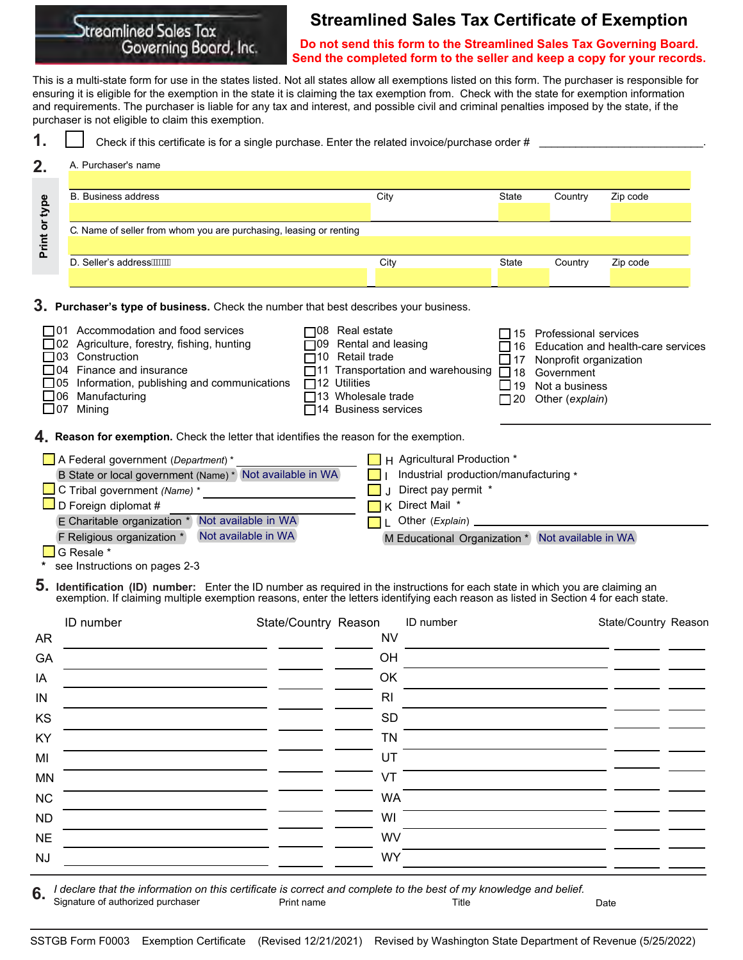# Otreamlined Sales Tax Governing Board, Inc.

## **Streamlined Sales Tax Certificate of Exemption**

**Do not send this form to the Streamlined Sales Tax Governing Board. Send the completed form to the seller and keep a copy for your records.**

This is a multi-state form for use in the states listed. Not all states allow all exemptions listed on this form. The purchaser is responsible for ensuring it is eligible for the exemption in the state it is claiming the tax exemption from. Check with the state for exemption information and requirements. The purchaser is liable for any tax and interest, and possible civil and criminal penalties imposed by the state, if the purchaser is not eligible to claim this exemption.

| Check if this certificate is for a single purchase. Enter the related invoice/purchase order # |      |              |         |          |  |  |  |
|------------------------------------------------------------------------------------------------|------|--------------|---------|----------|--|--|--|
| A. Purchaser's name                                                                            |      |              |         |          |  |  |  |
| <b>B.</b> Business address                                                                     | City | State        | Country | Zip code |  |  |  |
| C. Name of seller from whom you are purchasing, leasing or renting                             |      |              |         |          |  |  |  |
|                                                                                                |      |              |         |          |  |  |  |
| D. Seller's address ////                                                                       | City | <b>State</b> | Country | Zip code |  |  |  |

**Purchaser's type of business.** Check the number that best describes your business. **3.**

| $\Box$ 01 Accommodation and food services<br>$\Box$ 08 Real estate<br>$\Box$ 15 Professional services<br>$\Box$ 02 Agriculture, forestry, fishing, hunting<br>$\Box$ 09 Rental and leasing<br>$\Box$ 16 Education and health-care services<br>$\Box$ 10 Retail trade<br>$\Box$ 17 Nonprofit organization<br>$\Box$ 04 Finance and insurance<br>$\overline{\Box}11$ Transportation and warehousing $\Box$ 18 Government<br>$\Box$ 05 Information, publishing and communications<br>$\Box$ 12 Utilities<br>$\Box$ 19 Not a business<br>□ 13 Wholesale trade<br>$\Box$ 20 Other (explain)<br>$\Box$ 14 Business services |
|-----------------------------------------------------------------------------------------------------------------------------------------------------------------------------------------------------------------------------------------------------------------------------------------------------------------------------------------------------------------------------------------------------------------------------------------------------------------------------------------------------------------------------------------------------------------------------------------------------------------------|
|                                                                                                                                                                                                                                                                                                                                                                                                                                                                                                                                                                                                                       |

**Reason for exemption.** Check the letter that identifies the reason for the exemption. **4.**

| $\Box$ A Federal government ( <i>Department</i> ) *      | $\blacksquare$ H Agricultural Production $*$     |
|----------------------------------------------------------|--------------------------------------------------|
| B State or local government (Name) * Not available in WA | Industrial production/manufacturing *            |
| $\Box$ C Tribal government (Name) *                      | Direct pay permit *                              |
| $\Box$ D Foreign diplomat #                              | $\overline{\phantom{a}}$ K Direct Mail $^*$      |
| Not available in WA<br>E Charitable organization *       | Other (Explain)                                  |
| Not available in WA<br>F Religious organization *        | M Educational Organization * Not available in WA |
| $C$ Pessle $*$                                           |                                                  |

G Resale \*

**\*** see Instructions on pages 2-3

**5. Identification (ID) number:** Enter the ID number as required in the instructions for each state in which you are claiming an exemption. If claiming multiple exemption reasons, enter the letters identifying each reason as listed in Section 4 for each state.

|           | ID number | State/Country Reason |                | <b>ID</b> number | State/Country Reason |  |
|-----------|-----------|----------------------|----------------|------------------|----------------------|--|
| <b>AR</b> |           |                      | <b>NV</b>      |                  |                      |  |
| GA        |           |                      | OH             |                  |                      |  |
| IA        |           |                      | OK             |                  |                      |  |
| $\sf IN$  |           |                      | R <sub>l</sub> |                  |                      |  |
| KS        |           |                      | SD             |                  |                      |  |
| KY        |           |                      | <b>TN</b>      |                  |                      |  |
| MI        |           |                      | UT             |                  |                      |  |
| <b>MN</b> |           |                      | VT             |                  |                      |  |
| NC        |           |                      | <b>WA</b>      |                  |                      |  |
| <b>ND</b> |           |                      | WI             |                  |                      |  |
| <b>NE</b> |           |                      | <b>WV</b>      |                  |                      |  |
| <b>NJ</b> |           |                      | <b>WY</b>      |                  |                      |  |

*I declare that the information on this certificate is correct and complete to the best of my knowledge and belief.* Signature of authorized purchaser **Print name** Print name Title **The Constant Constant Constant Constant Constant 6.**

SSTGB Form F0003 Exemption Certificate (Revised 12/21/2021) Revised by Washington State Department of Revenue (5/25/2022)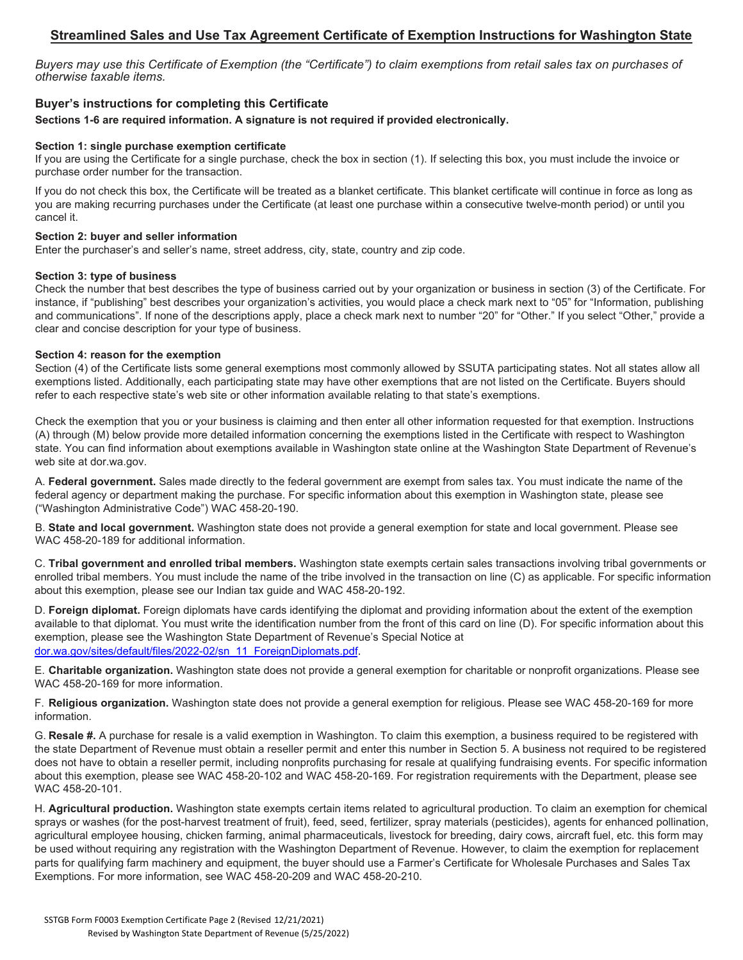## **Streamlined Sales and Use Tax Agreement Certificate of Exemption Instructions for Washington State**

*Buyers may use this Certificate of Exemption (the "Certificate") to claim exemptions from retail sales tax on purchases of otherwise taxable items.*

## **Buyer's instructions for completing this Certificate**

**Sections 1-6 are required information. A signature is not required if provided electronically.**

#### **Section 1: single purchase exemption certificate**

If you are using the Certificate for a single purchase, check the box in section (1). If selecting this box, you must include the invoice or purchase order number for the transaction.

If you do not check this box, the Certificate will be treated as a blanket certificate. This blanket certificate will continue in force as long as you are making recurring purchases under the Certificate (at least one purchase within a consecutive twelve-month period) or until you cancel it.

### **Section 2: buyer and seller information**

Enter the purchaser's and seller's name, street address, city, state, country and zip code.

#### **Section 3: type of business**

Check the number that best describes the type of business carried out by your organization or business in section (3) of the Certificate. For instance, if "publishing" best describes your organization's activities, you would place a check mark next to "05" for "Information, publishing and communications". If none of the descriptions apply, place a check mark next to number "20" for "Other." If you select "Other," provide a clear and concise description for your type of business.

#### **Section 4: reason for the exemption**

Section (4) of the Certificate lists some general exemptions most commonly allowed by SSUTA participating states. Not all states allow all exemptions listed. Additionally, each participating state may have other exemptions that are not listed on the Certificate. Buyers should refer to each respective state's web site or other information available relating to that state's exemptions.

Check the exemption that you or your business is claiming and then enter all other information requested for that exemption. Instructions (A) through (M) below provide more detailed information concerning the exemptions listed in the Certificate with respect to Washington state. You can find information about exemptions available in Washington state online at the Washington State Department of Revenue's web site at dor.wa.gov.

A. **Federal government.** Sales made directly to the federal government are exempt from sales tax. You must indicate the name of the federal agency or department making the purchase. For specific information about this exemption in Washington state, please see ("Washington Administrative Code") WAC 458-20-190.

B. **State and local government.** Washington state does not provide a general exemption for state and local government. Please see WAC 458-20-189 for additional information.

C. **Tribal government and enrolled tribal members.** Washington state exempts certain sales transactions involving tribal governments or enrolled tribal members. You must include the name of the tribe involved in the transaction on line (C) as applicable. For specific information about this exemption, please see our Indian tax guide and WAC 458-20-192.

D. **Foreign diplomat.** Foreign diplomats have cards identifying the diplomat and providing information about the extent of the exemption available to that diplomat. You must write the identification number from the front of this card on line (D). For specific information about this [exemption, please see the Washington State Department of Revenue's](dor.wa.gov/sites/default/files/2022-02/sn_11_ForeignDiplomats.pdf) Special Notice at dor.wa.gov/sites/default/files/2022-02/sn\_11\_ForeignDiplomats.pdf.

E. **Charitable organization.** Washington state does not provide a general exemption for charitable or nonprofit organizations. Please see WAC 458-20-169 for more information.

F. **Religious organization.** Washington state does not provide a general exemption for religious. Please see WAC 458-20-169 for more information.

G. **Resale #.** A purchase for resale is a valid exemption in Washington. To claim this exemption, a business required to be registered with the state Department of Revenue must obtain a reseller permit and enter this number in Section 5. A business not required to be registered does not have to obtain a reseller permit, including nonprofits purchasing for resale at qualifying fundraising events. For specific information about this exemption, please see WAC 458-20-102 and WAC 458-20-169. For registration requirements with the Department, please see WAC 458-20-101.

H. **Agricultural production.** Washington state exempts certain items related to agricultural production. To claim an exemption for chemical sprays or washes (for the post-harvest treatment of fruit), feed, seed, fertilizer, spray materials (pesticides), agents for enhanced pollination, agricultural employee housing, chicken farming, animal pharmaceuticals, livestock for breeding, dairy cows, aircraft fuel, etc. this form may be used without requiring any registration with the Washington Department of Revenue. However, to claim the exemption for replacement parts for qualifying farm machinery and equipment, the buyer should use a Farmer's Certificate for Wholesale Purchases and Sales Tax Exemptions. For more information, see WAC 458-20-209 and WAC 458-20-210.